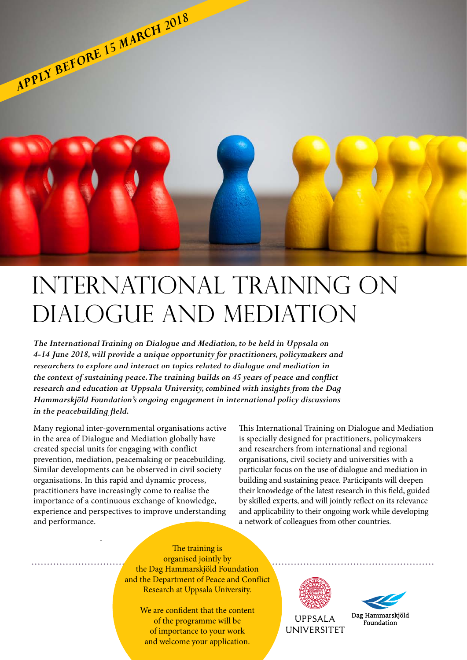

# International Training on Dialogue and Mediation

*The International Training on Dialogue and Mediation, to be held in Uppsala on 4-14 June 2018, will provide a unique opportunity for practitioners, policymakers and researchers to explore and interact on topics related to dialogue and mediation in the context of sustaining peace. The training builds on 45 years of peace and conflict research and education at Uppsala University, combined with insights from the Dag Hammarskjöld Foundation's ongoing engagement in international policy discussions in the peacebuilding field.*

Many regional inter-governmental organisations active in the area of Dialogue and Mediation globally have created special units for engaging with conflict prevention, mediation, peacemaking or peacebuilding. Similar developments can be observed in civil society organisations. In this rapid and dynamic process, practitioners have increasingly come to realise the importance of a continuous exchange of knowledge, experience and perspectives to improve understanding and performance.

.

This International Training on Dialogue and Mediation is specially designed for practitioners, policymakers and researchers from international and regional organisations, civil society and universities with a particular focus on the use of dialogue and mediation in building and sustaining peace. Participants will deepen their knowledge of the latest research in this field, guided by skilled experts, and will jointly reflect on its relevance and applicability to their ongoing work while developing a network of colleagues from other countries.

The training is organised jointly by the Dag Hammarskjöld Foundation and the Department of Peace and Conflict Research at Uppsala University.

> We are confident that the content of the programme will be of importance to your work and welcome your application.



**UPPSALA UNIVERSITET** 



Dag Hammarskjöld Foundation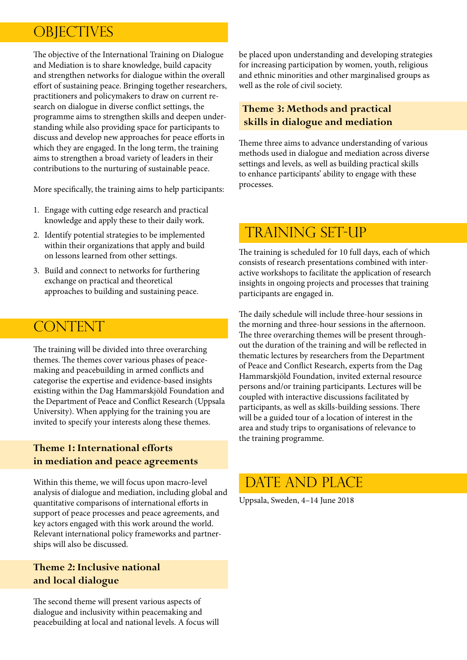# **OBJECTIVES**

The objective of the International Training on Dialogue and Mediation is to share knowledge, build capacity and strengthen networks for dialogue within the overall effort of sustaining peace. Bringing together researchers, practitioners and policymakers to draw on current research on dialogue in diverse conflict settings, the programme aims to strengthen skills and deepen understanding while also providing space for participants to discuss and develop new approaches for peace efforts in which they are engaged. In the long term, the training aims to strengthen a broad variety of leaders in their contributions to the nurturing of sustainable peace.

More specifically, the training aims to help participants:

- 1. Engage with cutting edge research and practical knowledge and apply these to their daily work.
- 2. Identify potential strategies to be implemented within their organizations that apply and build on lessons learned from other settings.
- 3. Build and connect to networks for furthering exchange on practical and theoretical approaches to building and sustaining peace.

### CONTENT

The training will be divided into three overarching themes. The themes cover various phases of peacemaking and peacebuilding in armed conflicts and categorise the expertise and evidence-based insights existing within the Dag Hammarskjöld Foundation and the Department of Peace and Conflict Research (Uppsala University). When applying for the training you are invited to specify your interests along these themes.

#### **Theme 1: International efforts in mediation and peace agreements**

Within this theme, we will focus upon macro-level analysis of dialogue and mediation, including global and quantitative comparisons of international efforts in support of peace processes and peace agreements, and key actors engaged with this work around the world. Relevant international policy frameworks and partnerships will also be discussed.

#### **Theme 2: Inclusive national and local dialogue**

The second theme will present various aspects of dialogue and inclusivity within peacemaking and peacebuilding at local and national levels. A focus will be placed upon understanding and developing strategies for increasing participation by women, youth, religious and ethnic minorities and other marginalised groups as well as the role of civil society.

### **Theme 3: Methods and practical skills in dialogue and mediation**

Theme three aims to advance understanding of various methods used in dialogue and mediation across diverse settings and levels, as well as building practical skills to enhance participants' ability to engage with these processes.

# TRAINING SET-UP

The training is scheduled for 10 full days, each of which consists of research presentations combined with interactive workshops to facilitate the application of research insights in ongoing projects and processes that training participants are engaged in.

The daily schedule will include three-hour sessions in the morning and three-hour sessions in the afternoon. The three overarching themes will be present throughout the duration of the training and will be reflected in thematic lectures by researchers from the Department of Peace and Conflict Research, experts from the Dag Hammarskjöld Foundation, invited external resource persons and/or training participants. Lectures will be coupled with interactive discussions facilitated by participants, as well as skills-building sessions. There will be a guided tour of a location of interest in the area and study trips to organisations of relevance to the training programme.

### DATE AND PLACE

Uppsala, Sweden, 4–14 June 2018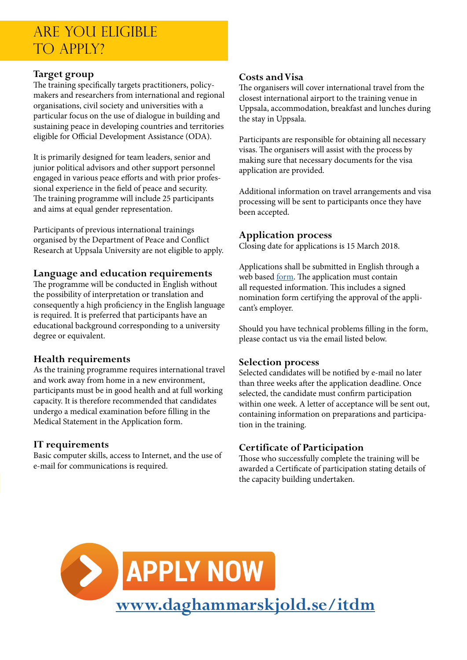### Are you eligible TO APPIY?

#### **Target group**

I

The training specifically targets practitioners, policymakers and researchers from international and regional organisations, civil society and universities with a particular focus on the use of dialogue in building and sustaining peace in developing countries and territories eligible for Official Development Assistance (ODA).

It is primarily designed for team leaders, senior and junior political advisors and other support personnel engaged in various peace efforts and with prior professional experience in the field of peace and security. The training programme will include 25 participants and aims at equal gender representation.

Participants of previous international trainings organised by the Department of Peace and Conflict Research at Uppsala University are not eligible to apply.

#### **Language and education requirements**

The programme will be conducted in English without the possibility of interpretation or translation and consequently a high proficiency in the English language is required. It is preferred that participants have an educational background corresponding to a university degree or equivalent.

#### **Health requirements**

As the training programme requires international travel and work away from home in a new environment, participants must be in good health and at full working capacity. It is therefore recommended that candidates undergo a medical examination before filling in the Medical Statement in the Application form.

#### **IT requirements**

Basic computer skills, access to Internet, and the use of e-mail for communications is required.

#### **Costs and Visa**

The organisers will cover international travel from the closest international airport to the training venue in Uppsala, accommodation, breakfast and lunches during the stay in Uppsala.

Participants are responsible for obtaining all necessary visas. The organisers will assist with the process by making sure that necessary documents for the visa application are provided.

Additional information on travel arrangements and visa processing will be sent to participants once they have been accepted.

#### **Application process**

Closing date for applications is 15 March 2018.

Applications shall be submitted in English through a web based <u>form</u>. The application must contain all requested information. This includes a signed nomination form certifying the approval of the applicant's employer.

Should you have technical problems filling in the form, please contact us via the email listed below.

#### **Selection process**

Selected candidates will be notified by e-mail no later than three weeks after the application deadline. Once selected, the candidate must confirm participation within one week. A letter of acceptance will be sent out, containing information on preparations and participation in the training.

#### **Certificate of Participation**

Those who successfully complete the training will be awarded a Certificate of participation stating details of the capacity building undertaken.